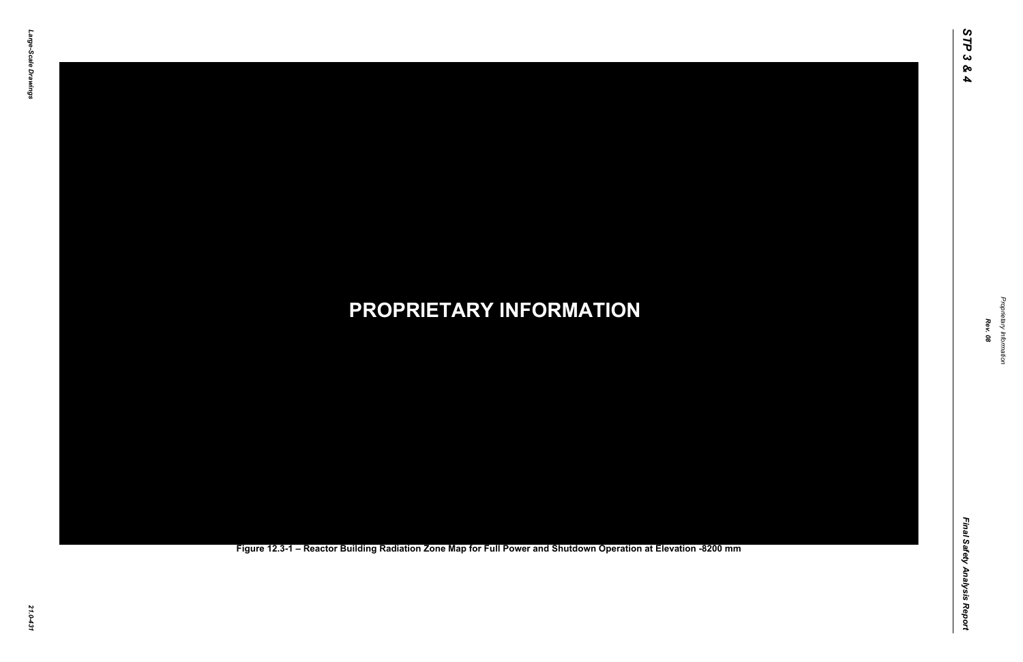Final Safety Analysis Report *Final Safety Analysis Report*

*Proprietary Information* Proprietary Information



### *21.0-431* **PROPRIETARY INFORMATION Figure 12.3-1 – Reactor Building Radiation Zone Map for Full Power and Shutdown Operation at Elevation -8200 mm**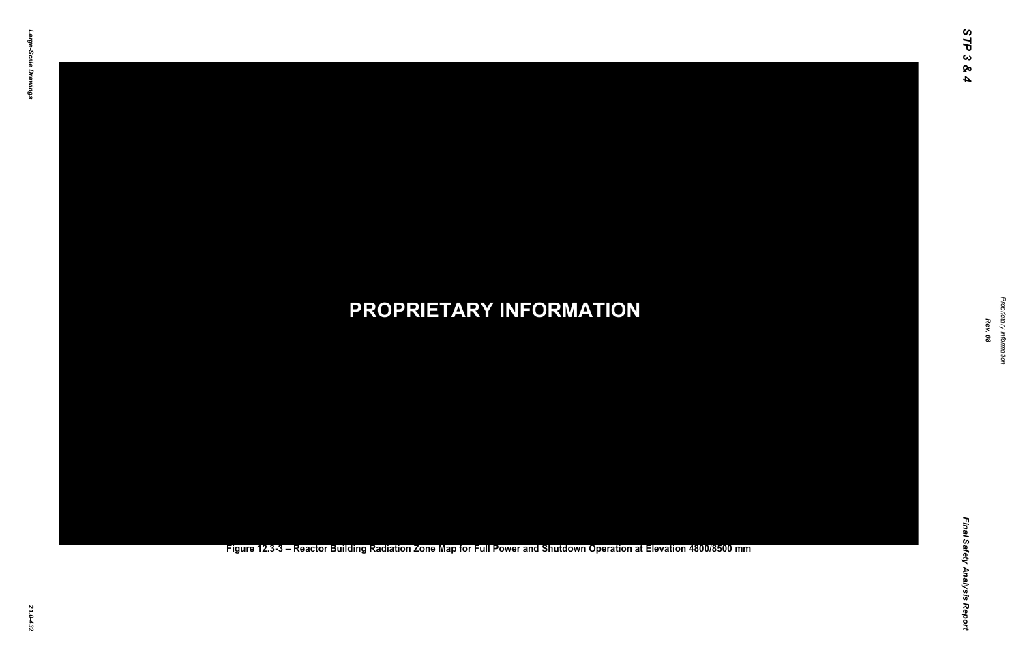Final Safety Analysis Report *Final Safety Analysis Report*

*Proprietary Information* Proprietary Information



### *21.0-432* **PROPRIETARY INFORMATION Figure 12.3-3 – Reactor Building Radiation Zone Map for Full Power and Shutdown Operation at Elevation 4800/8500 mm**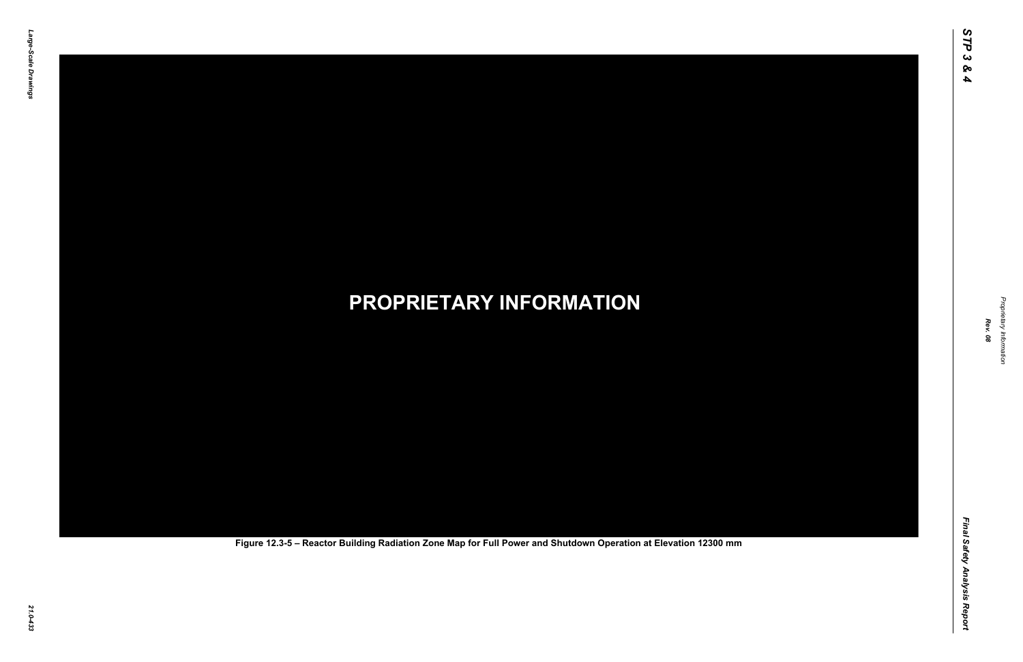Final Safety Analysis Report *Final Safety Analysis Report*



# *21.0-433* **PROPRIETARY INFORMATION Figure 12.3-5 – Reactor Building Radiation Zone Map for Full Power and Shutdown Operation at Elevation 12300 mm**

Propr *Proprietary Information* ietary Information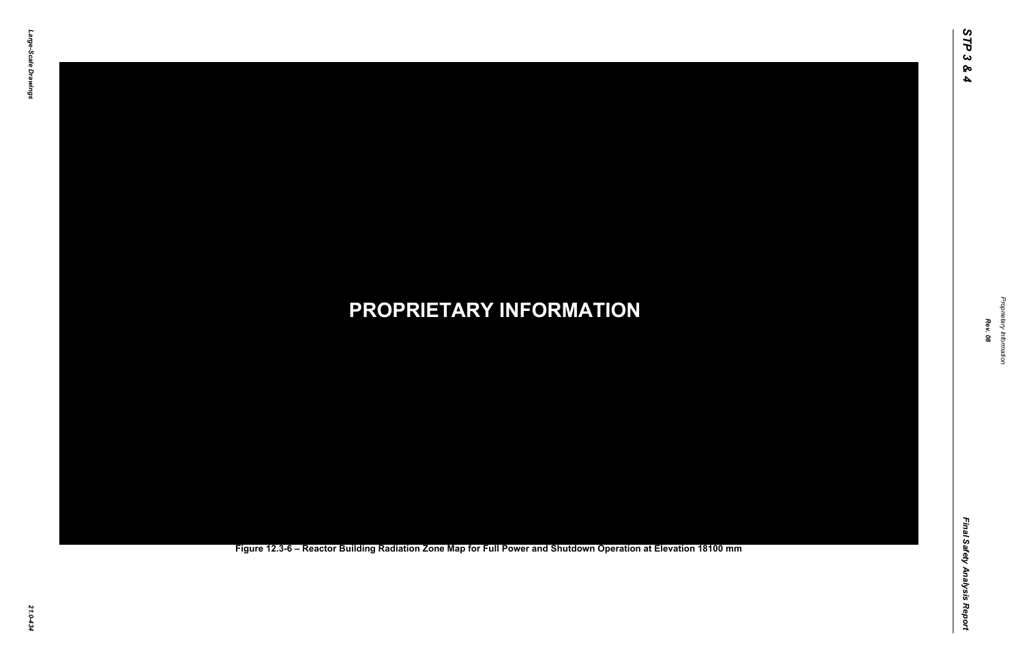Final Safety Analysis Report *Final Safety Analysis Report*

*Proprietary Information* Proprietary Information



### *21.0-434* **PROPRIETARY INFORMATION Figure 12.3-6 – Reactor Building Radiation Zone Map for Full Power and Shutdown Operation at Elevation 18100 mm**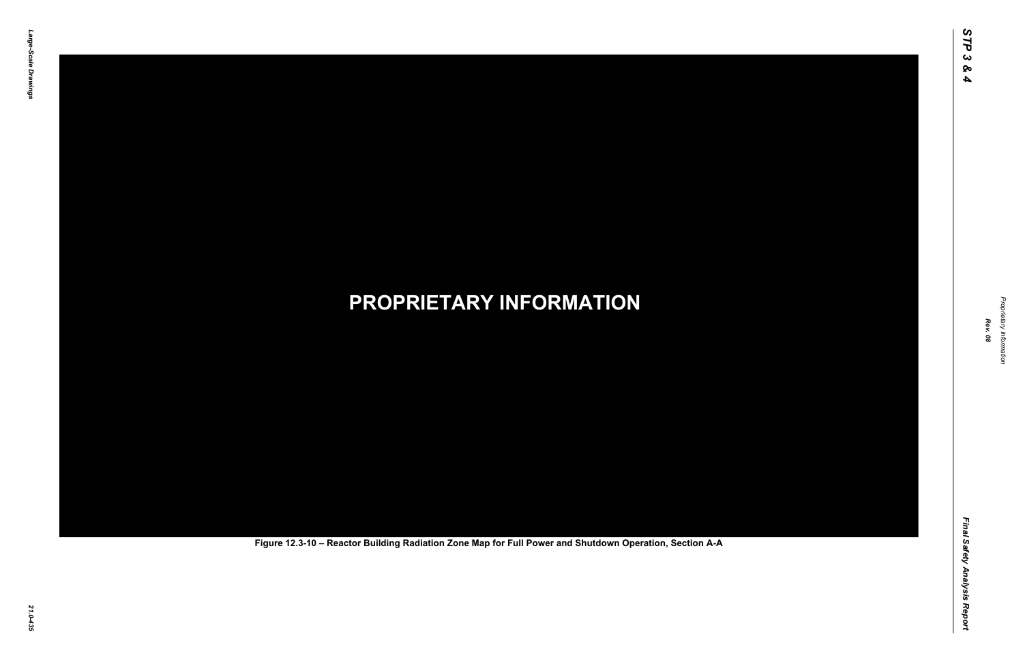Final Safety Analysis Report *Final Safety Analysis Report*



Proprietary Information *Proprietary Information*

# *21.0-435* **PROPRIETARY INFORMATION Figure 12.3-10 – Reactor Building Radiation Zone Map for Full Power and Shutdown Operation, Section A-A**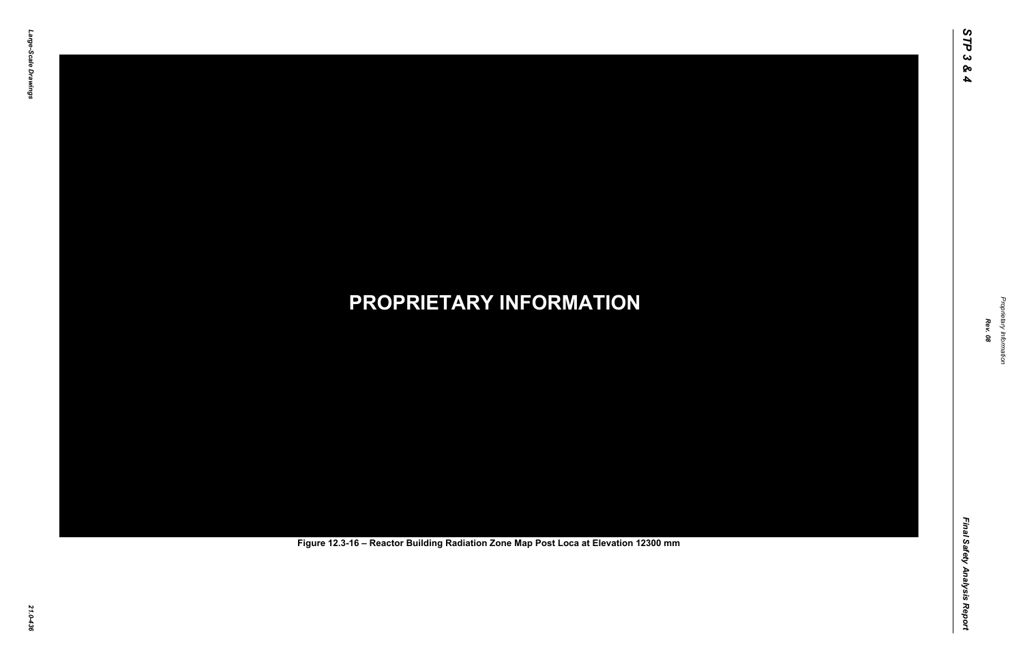Final Safety Analysis Report *Final Safety Analysis Report*



Proprietary Information *Proprietary Information*

# *21.0-436* **PROPRIETARY INFORMATION Figure 12.3-16 – Reactor Building Radiation Zone Map Post Loca at Elevation 12300 mm**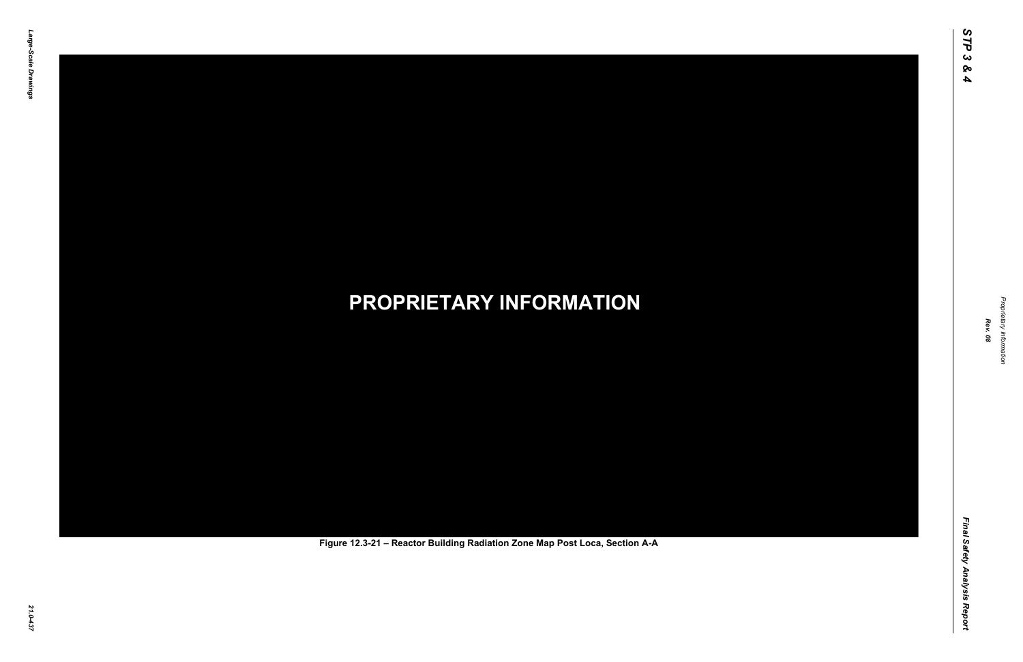Final Safety Analysis Report *Final Safety Analysis Report*



Proprietary Information *Proprietary Information*

# *21.0-437* **PROPRIETARY INFORMATION Figure 12.3-21 – Reactor Building Radiation Zone Map Post Loca, Section A-A**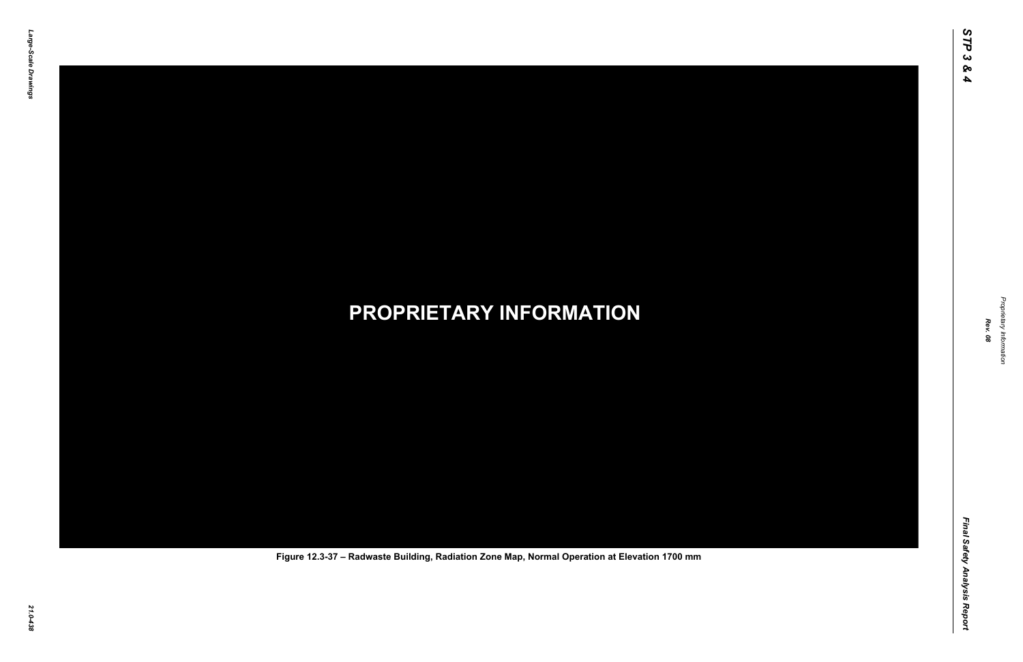Final Safety Analysis Report *Final Safety Analysis Report*



Proprietary Information *Proprietary Information*

### *21.0-438* **PROPRIETARY INFORMATION Figure 12.3-37 – Radwaste Building, Radiation Zone Map, Normal Operation at Elevation 1700 mm**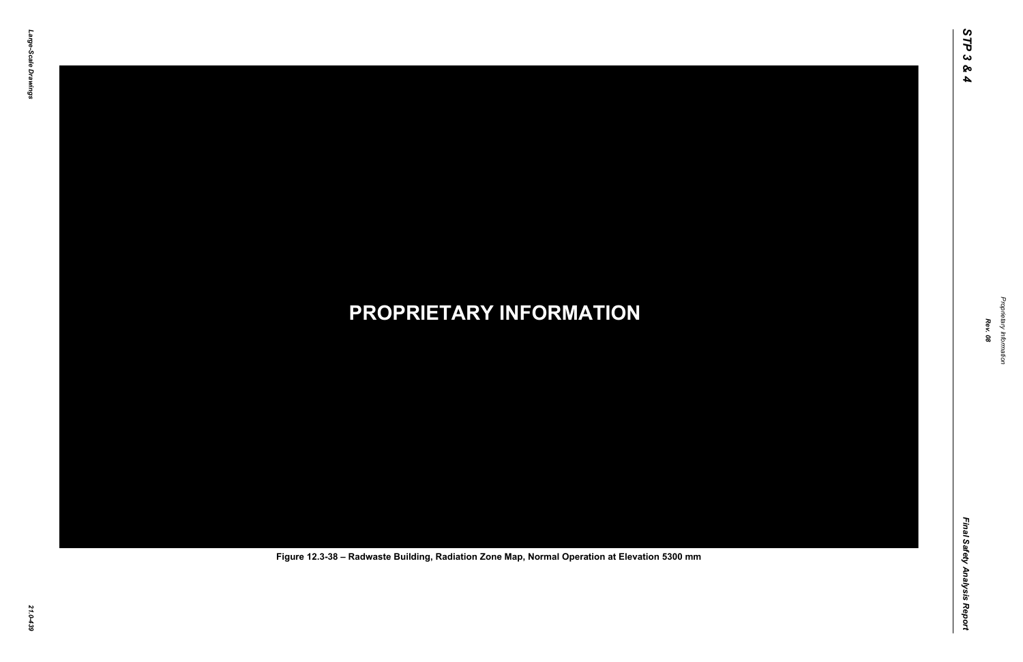Final Safety Analysis Report *Final Safety Analysis Report*



Proprietary Information *Proprietary Information*

### *21.0-439* **PROPRIETARY INFORMATION Figure 12.3-38 – Radwaste Building, Radiation Zone Map, Normal Operation at Elevation 5300 mm**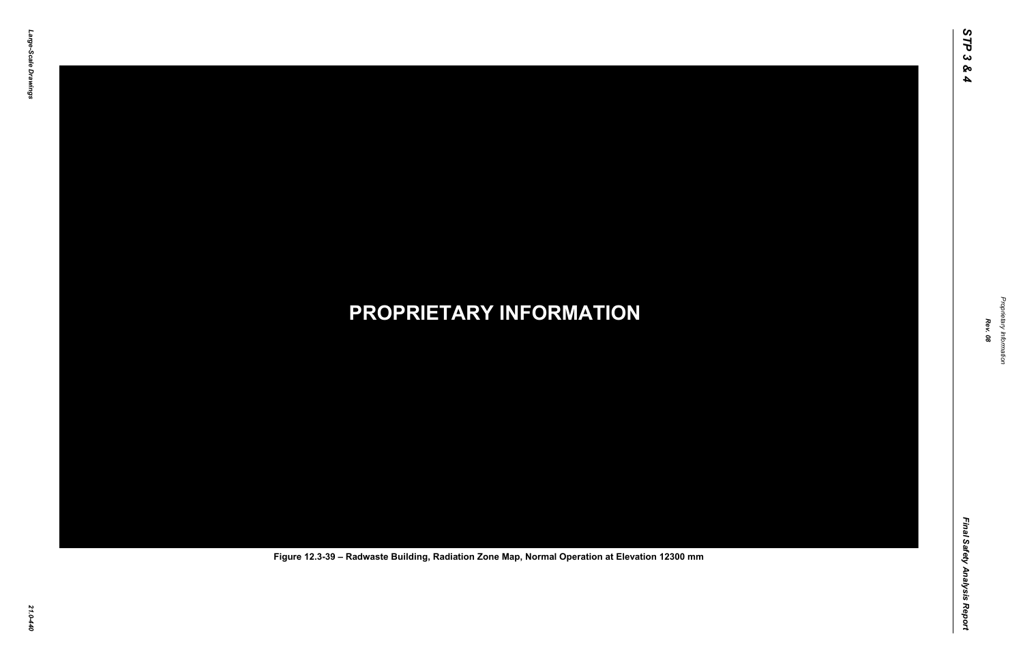Final Safety Analysis Report *Final Safety Analysis Report*



Proprietary Information *Proprietary Information*

### *21.0-440* **PROPRIETARY INFORMATION Figure 12.3-39 – Radwaste Building, Radiation Zone Map, Normal Operation at Elevation 12300 mm**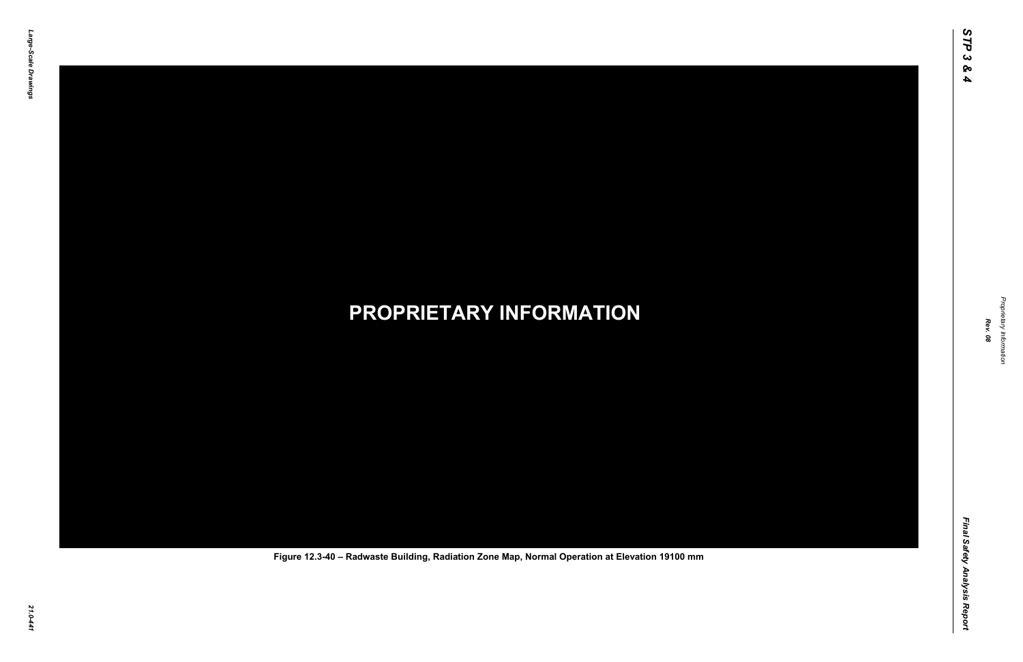Final Safety Analysis Report *Final Safety Analysis Report*



Proprietary Information *Proprietary Information*

### *21.0-441* **PROPRIETARY INFORMATION Figure 12.3-40 – Radwaste Building, Radiation Zone Map, Normal Operation at Elevation 19100 mm**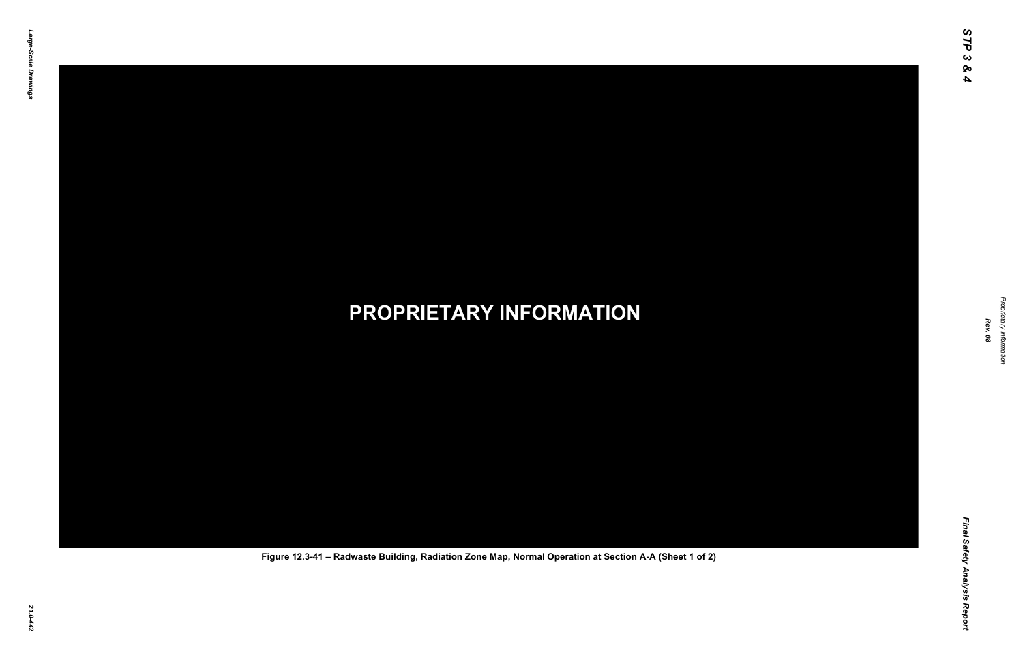Final Safety Analysis Report *Final Safety Analysis Report*



Proprietary Information *Proprietary Information*

### *21.0-442* **PROPRIETARY INFORMATION Figure 12.3-41 – Radwaste Building, Radiation Zone Map, Normal Operation at Section A-A (Sheet 1 of 2)**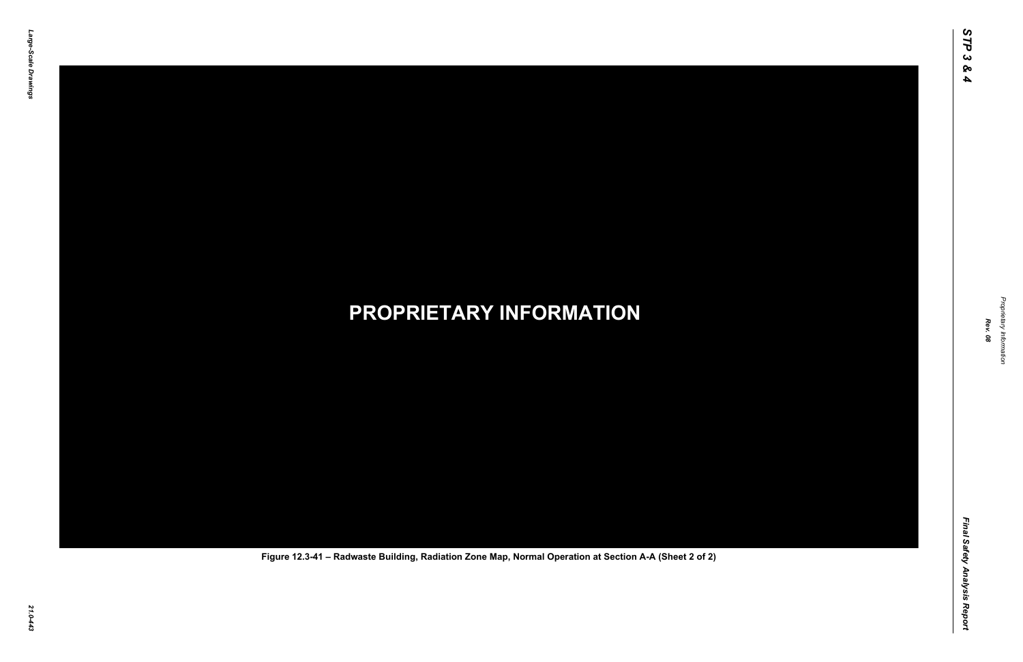Final Safety Analysis Report *Final Safety Analysis Report*



Proprietary Information *Proprietary Information*

### *21.0-443* **PROPRIETARY INFORMATION Figure 12.3-41 – Radwaste Building, Radiation Zone Map, Normal Operation at Section A-A (Sheet 2 of 2)**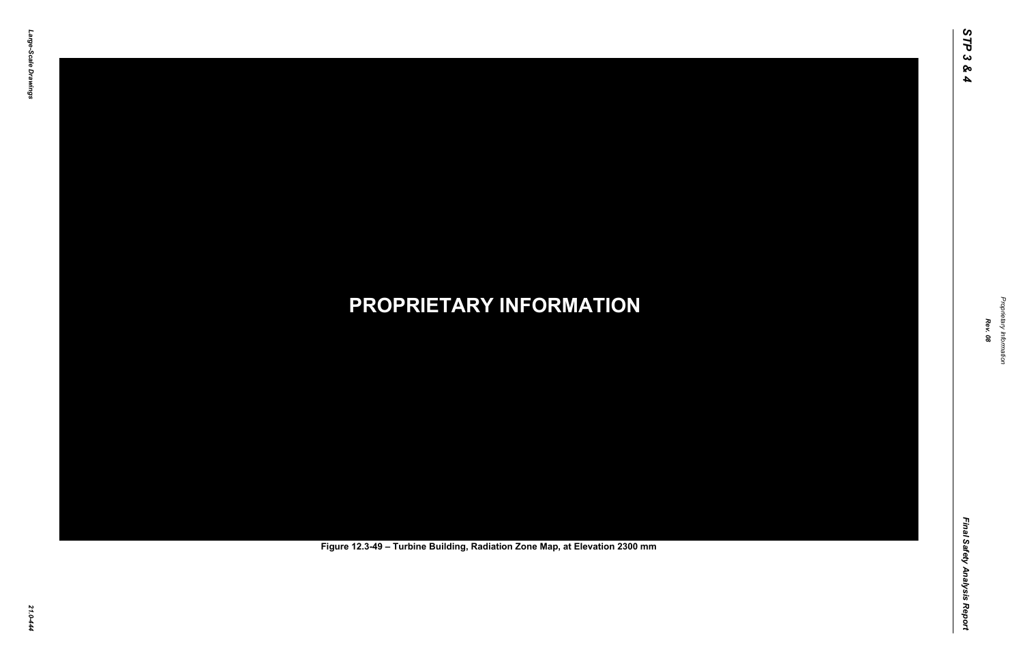Final Safety Analysis Report *Final Safety Analysis Report*



Proprietary Information *Proprietary Information*

# *21.0-444* **PROPRIETARY INFORMATION Figure 12.3-49 – Turbine Building, Radiation Zone Map, at Elevation 2300 mm**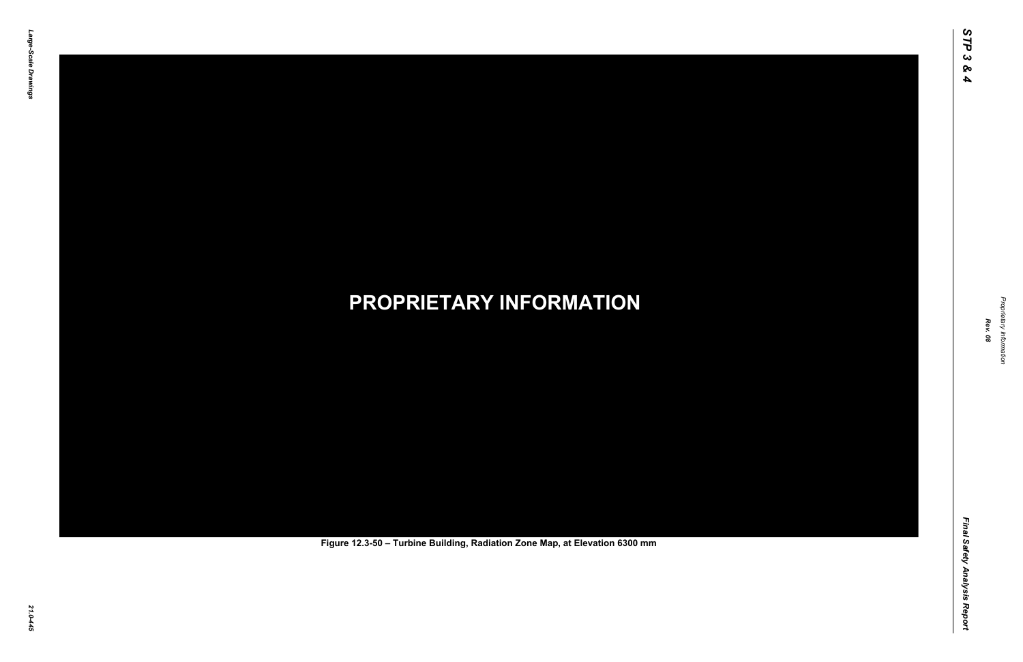Final Safety Analysis Report *Final Safety Analysis Report*



Proprietary Information *Proprietary Information*

# *21.0-445* **PROPRIETARY INFORMATION Figure 12.3-50 – Turbine Building, Radiation Zone Map, at Elevation 6300 mm**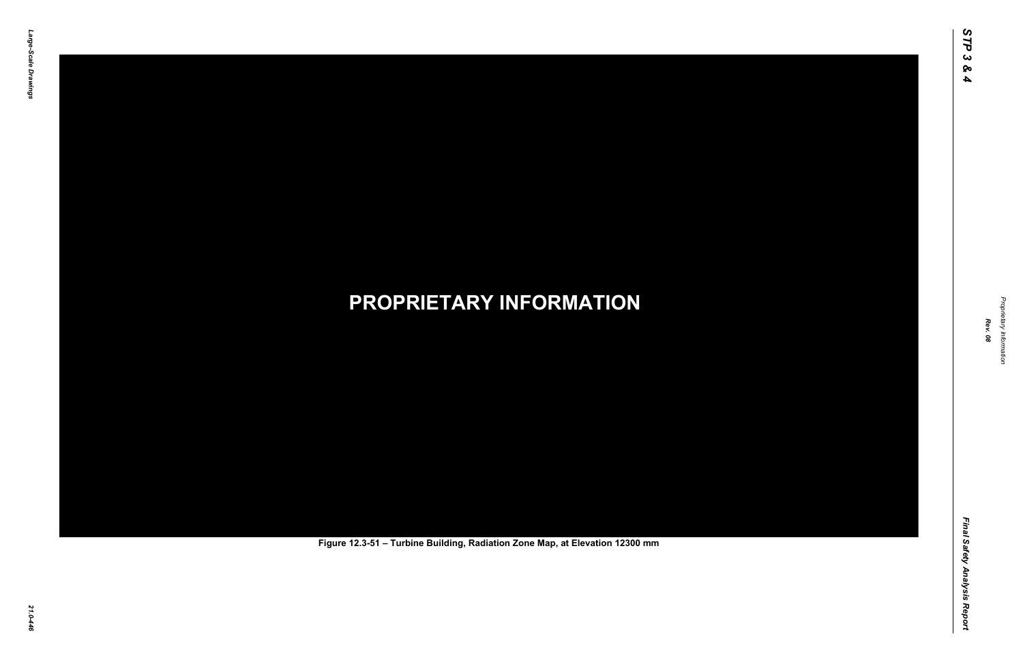Final Safety Analysis Report *Final Safety Analysis Report*



Proprietary Information *Proprietary Information*

# *21.0-446* **PROPRIETARY INFORMATION Figure 12.3-51 – Turbine Building, Radiation Zone Map, at Elevation 12300 mm**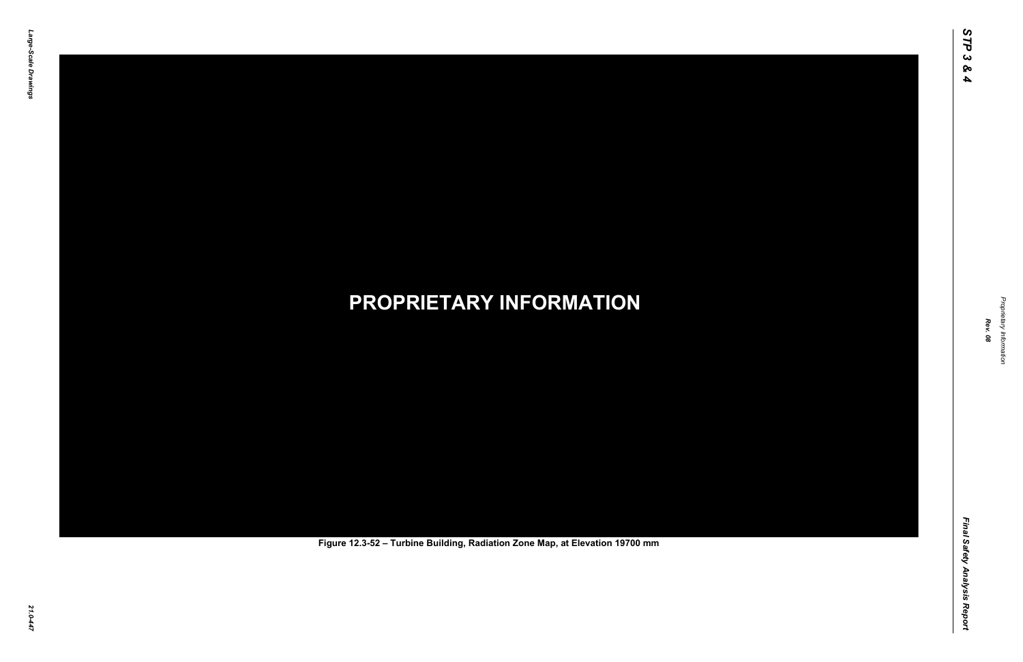Final Safety Analysis Report *Final Safety Analysis Report*



Proprietary Information *Proprietary Information*

# *21.0-447* **PROPRIETARY INFORMATION Figure 12.3-52 – Turbine Building, Radiation Zone Map, at Elevation 19700 mm**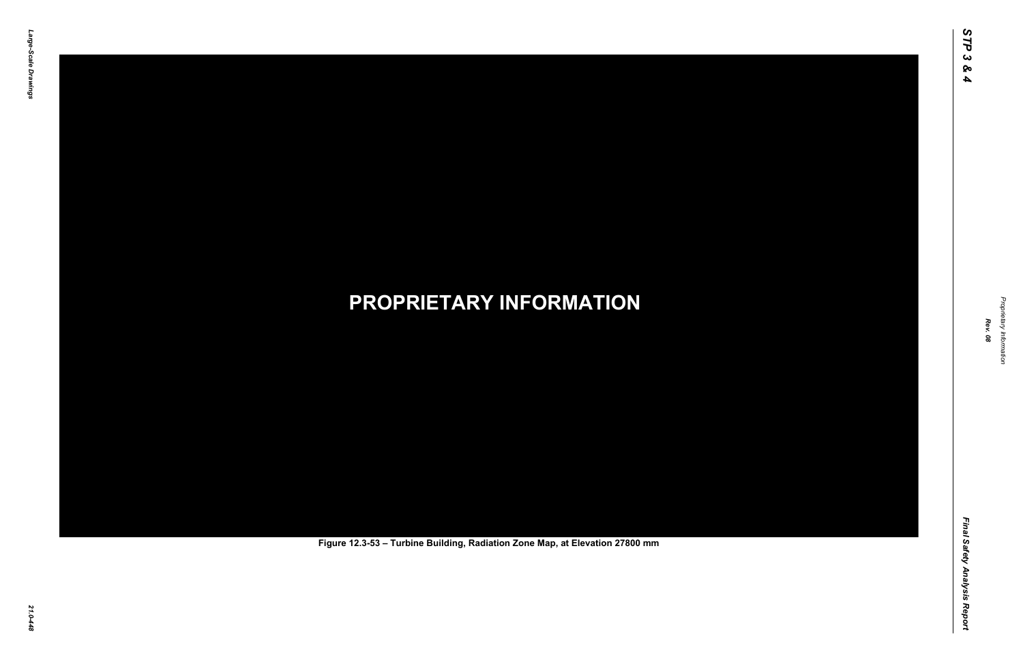Final Safety Analysis Report *Final Safety Analysis Report*



Proprietary Information *Proprietary Information*

# *21.0-448* **PROPRIETARY INFORMATION Figure 12.3-53 – Turbine Building, Radiation Zone Map, at Elevation 27800 mm**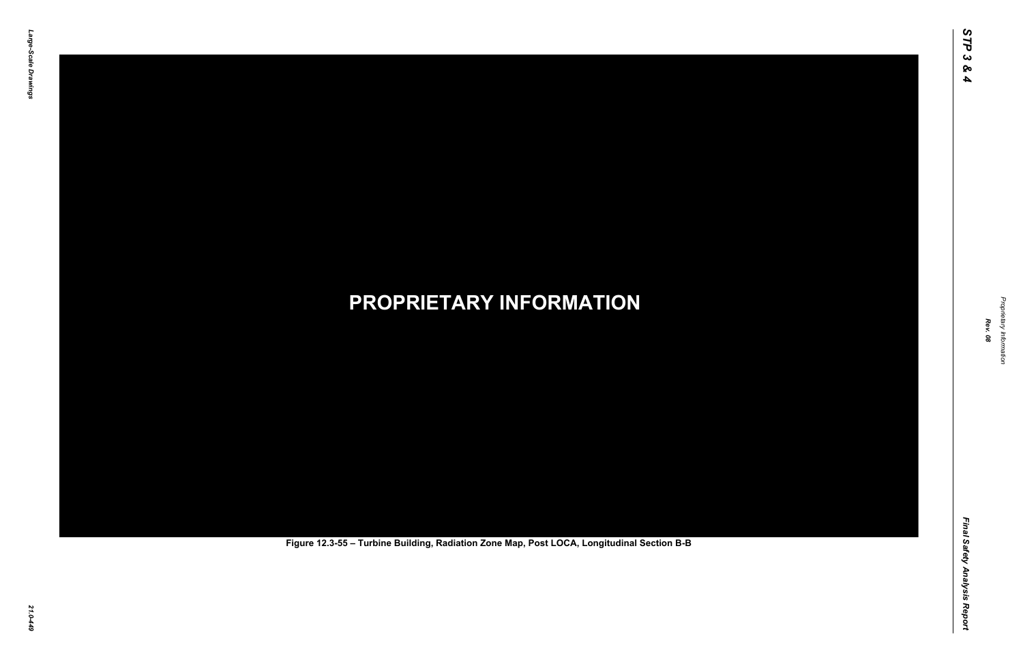Final Safety Analysis Report *Final Safety Analysis Report*



Proprietary Information *Proprietary Information*

# *21.0-449* **PROPRIETARY INFORMATION Figure 12.3-55 – Turbine Building, Radiation Zone Map, Post LOCA, Longitudinal Section B-B**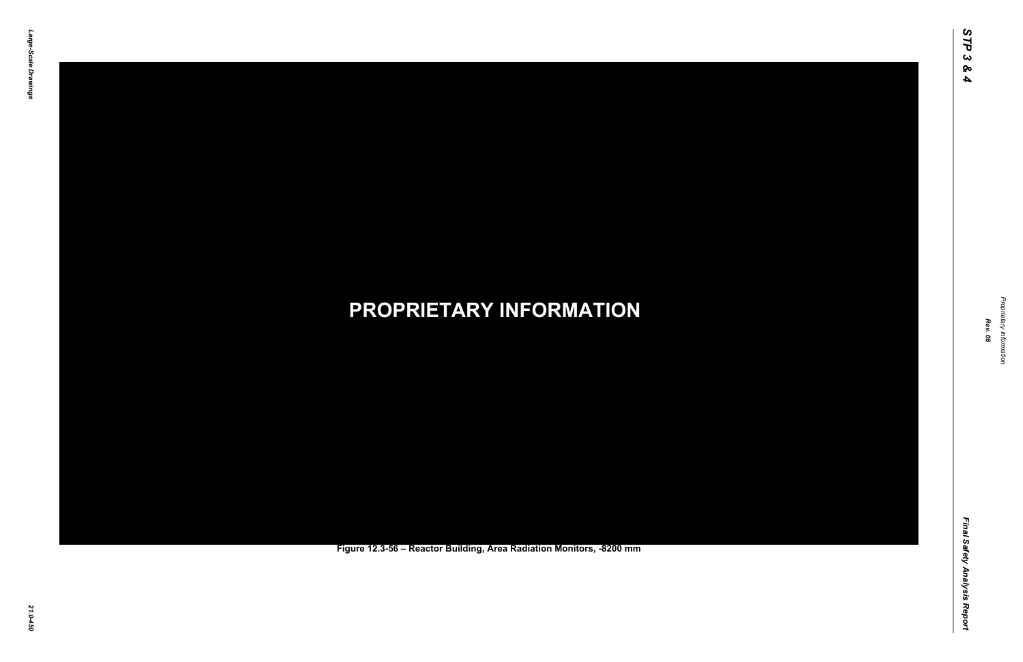Final Safety Analysis Report *Final Safety Analysis Report*



Proprietary Information *Proprietary Information*

### *21.0-450* **PROPRIETARY INFORMATION Figure 12.3-56 – Reactor Building, Area Radiation Monitors, -8200 mm**